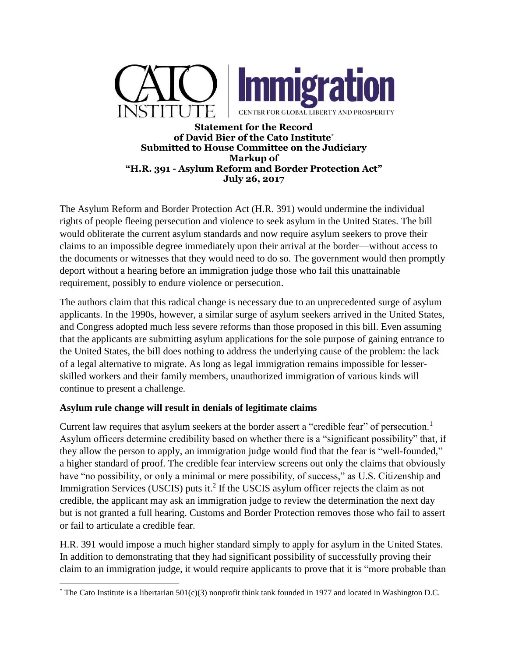



**Statement for the Record of David Bier of the Cato Institute**\* **Submitted to House Committee on the Judiciary Markup of "H.R. 391 - Asylum Reform and Border Protection Act" July 26, 2017**

The Asylum Reform and Border Protection Act (H.R. 391) would undermine the individual rights of people fleeing persecution and violence to seek asylum in the United States. The bill would obliterate the current asylum standards and now require asylum seekers to prove their claims to an impossible degree immediately upon their arrival at the border—without access to the documents or witnesses that they would need to do so. The government would then promptly deport without a hearing before an immigration judge those who fail this unattainable requirement, possibly to endure violence or persecution.

The authors claim that this radical change is necessary due to an unprecedented surge of asylum applicants. In the 1990s, however, a similar surge of asylum seekers arrived in the United States, and Congress adopted much less severe reforms than those proposed in this bill. Even assuming that the applicants are submitting asylum applications for the sole purpose of gaining entrance to the United States, the bill does nothing to address the underlying cause of the problem: the lack of a legal alternative to migrate. As long as legal immigration remains impossible for lesserskilled workers and their family members, unauthorized immigration of various kinds will continue to present a challenge.

## **Asylum rule change will result in denials of legitimate claims**

Current law requires that asylum seekers at the border assert a "credible fear" of persecution.<sup>1</sup> Asylum officers determine credibility based on whether there is a "significant possibility" that, if they allow the person to apply, an immigration judge would find that the fear is "well-founded," a higher standard of proof. The credible fear interview screens out only the claims that obviously have "no possibility, or only a minimal or mere possibility, of success," as U.S. Citizenship and Immigration Services (USCIS) puts it.<sup>2</sup> If the USCIS asylum officer rejects the claim as not credible, the applicant may ask an immigration judge to review the determination the next day but is not granted a full hearing. Customs and Border Protection removes those who fail to assert or fail to articulate a credible fear.

H.R. 391 would impose a much higher standard simply to apply for asylum in the United States. In addition to demonstrating that they had significant possibility of successfully proving their claim to an immigration judge, it would require applicants to prove that it is "more probable than

 $\overline{\phantom{a}}$  $*$  The Cato Institute is a libertarian 501(c)(3) nonprofit think tank founded in 1977 and located in Washington D.C.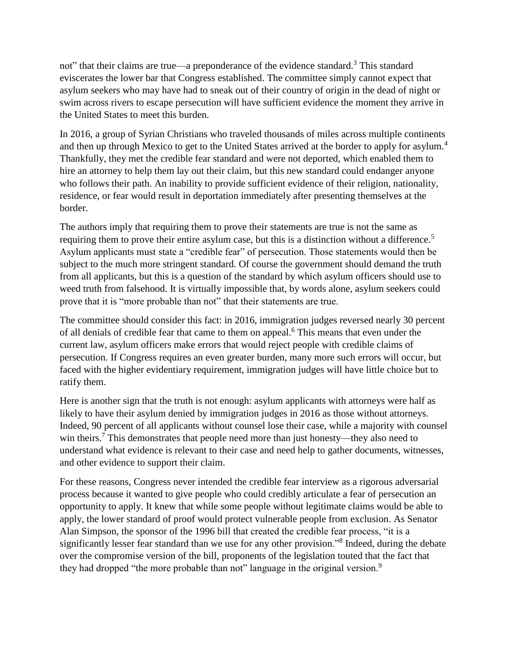not" that their claims are true—a preponderance of the evidence standard.<sup>3</sup> This standard eviscerates the lower bar that Congress established. The committee simply cannot expect that asylum seekers who may have had to sneak out of their country of origin in the dead of night or swim across rivers to escape persecution will have sufficient evidence the moment they arrive in the United States to meet this burden.

In 2016, a group of Syrian Christians who traveled thousands of miles across multiple continents and then up through Mexico to get to the United States arrived at the border to apply for asylum.<sup>4</sup> Thankfully, they met the credible fear standard and were not deported, which enabled them to hire an attorney to help them lay out their claim, but this new standard could endanger anyone who follows their path. An inability to provide sufficient evidence of their religion, nationality, residence, or fear would result in deportation immediately after presenting themselves at the border.

The authors imply that requiring them to prove their statements are true is not the same as requiring them to prove their entire asylum case, but this is a distinction without a difference.<sup>5</sup> Asylum applicants must state a "credible fear" of persecution. Those statements would then be subject to the much more stringent standard. Of course the government should demand the truth from all applicants, but this is a question of the standard by which asylum officers should use to weed truth from falsehood. It is virtually impossible that, by words alone, asylum seekers could prove that it is "more probable than not" that their statements are true.

The committee should consider this fact: in 2016, immigration judges reversed nearly 30 percent of all denials of credible fear that came to them on appeal.<sup>6</sup> This means that even under the current law, asylum officers make errors that would reject people with credible claims of persecution. If Congress requires an even greater burden, many more such errors will occur, but faced with the higher evidentiary requirement, immigration judges will have little choice but to ratify them.

Here is another sign that the truth is not enough: asylum applicants with attorneys were half as likely to have their asylum denied by immigration judges in 2016 as those without attorneys. Indeed, 90 percent of all applicants without counsel lose their case, while a majority with counsel win theirs.<sup>7</sup> This demonstrates that people need more than just honesty—they also need to understand what evidence is relevant to their case and need help to gather documents, witnesses, and other evidence to support their claim.

For these reasons, Congress never intended the credible fear interview as a rigorous adversarial process because it wanted to give people who could credibly articulate a fear of persecution an opportunity to apply. It knew that while some people without legitimate claims would be able to apply, the lower standard of proof would protect vulnerable people from exclusion. As Senator Alan Simpson, the sponsor of the 1996 bill that created the credible fear process, "it is a significantly lesser fear standard than we use for any other provision."<sup>8</sup> Indeed, during the debate over the compromise version of the bill, proponents of the legislation touted that the fact that they had dropped "the more probable than not" language in the original version.<sup>9</sup>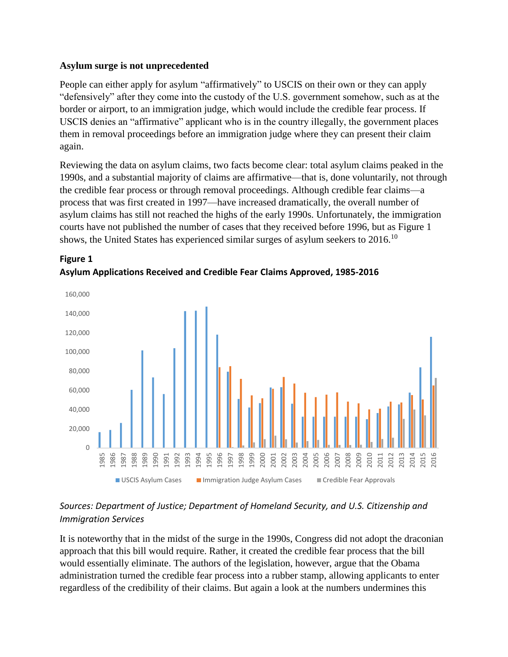#### **Asylum surge is not unprecedented**

**Figure 1**

People can either apply for asylum "affirmatively" to USCIS on their own or they can apply "defensively" after they come into the custody of the U.S. government somehow, such as at the border or airport, to an immigration judge, which would include the credible fear process. If USCIS denies an "affirmative" applicant who is in the country illegally, the government places them in removal proceedings before an immigration judge where they can present their claim again.

Reviewing the data on asylum claims, two facts become clear: total asylum claims peaked in the 1990s, and a substantial majority of claims are affirmative—that is, done voluntarily, not through the credible fear process or through removal proceedings. Although credible fear claims—a process that was first created in 1997—have increased dramatically, the overall number of asylum claims has still not reached the highs of the early 1990s. Unfortunately, the immigration courts have not published the number of cases that they received before 1996, but as Figure 1 shows, the United States has experienced similar surges of asylum seekers to 2016.<sup>10</sup>



# **Asylum Applications Received and Credible Fear Claims Approved, 1985-2016**

# *Sources: Department of Justice; Department of Homeland Security, and U.S. Citizenship and Immigration Services*

It is noteworthy that in the midst of the surge in the 1990s, Congress did not adopt the draconian approach that this bill would require. Rather, it created the credible fear process that the bill would essentially eliminate. The authors of the legislation, however, argue that the Obama administration turned the credible fear process into a rubber stamp, allowing applicants to enter regardless of the credibility of their claims. But again a look at the numbers undermines this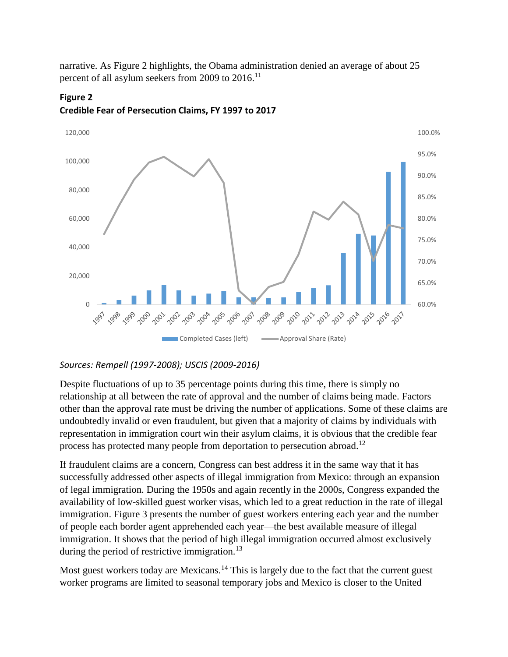narrative. As Figure 2 highlights, the Obama administration denied an average of about 25 percent of all asylum seekers from 2009 to 2016.<sup>11</sup>



**Credible Fear of Persecution Claims, FY 1997 to 2017**

**Figure 2**

## *Sources: Rempell (1997-2008); USCIS (2009-2016)*

Despite fluctuations of up to 35 percentage points during this time, there is simply no relationship at all between the rate of approval and the number of claims being made. Factors other than the approval rate must be driving the number of applications. Some of these claims are undoubtedly invalid or even fraudulent, but given that a majority of claims by individuals with representation in immigration court win their asylum claims, it is obvious that the credible fear process has protected many people from deportation to persecution abroad.<sup>12</sup>

If fraudulent claims are a concern, Congress can best address it in the same way that it has successfully addressed other aspects of illegal immigration from Mexico: through an expansion of legal immigration. During the 1950s and again recently in the 2000s, Congress expanded the availability of low-skilled guest worker visas, which led to a great reduction in the rate of illegal immigration. Figure 3 presents the number of guest workers entering each year and the number of people each border agent apprehended each year—the best available measure of illegal immigration. It shows that the period of high illegal immigration occurred almost exclusively during the period of restrictive immigration.<sup>13</sup>

Most guest workers today are Mexicans.<sup>14</sup> This is largely due to the fact that the current guest worker programs are limited to seasonal temporary jobs and Mexico is closer to the United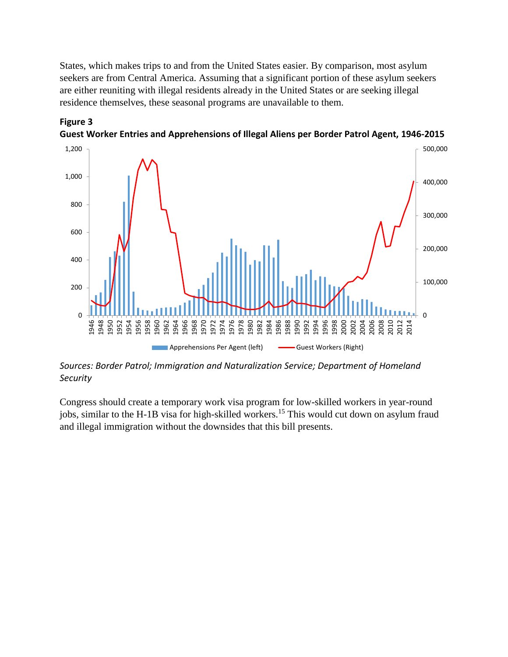States, which makes trips to and from the United States easier. By comparison, most asylum seekers are from Central America. Assuming that a significant portion of these asylum seekers are either reuniting with illegal residents already in the United States or are seeking illegal residence themselves, these seasonal programs are unavailable to them.



**Guest Worker Entries and Apprehensions of Illegal Aliens per Border Patrol Agent, 1946-2015**

**Figure 3**

*Sources: Border Patrol; Immigration and Naturalization Service; Department of Homeland Security*

Congress should create a temporary work visa program for low-skilled workers in year-round jobs, similar to the H-1B visa for high-skilled workers.<sup>15</sup> This would cut down on asylum fraud and illegal immigration without the downsides that this bill presents.